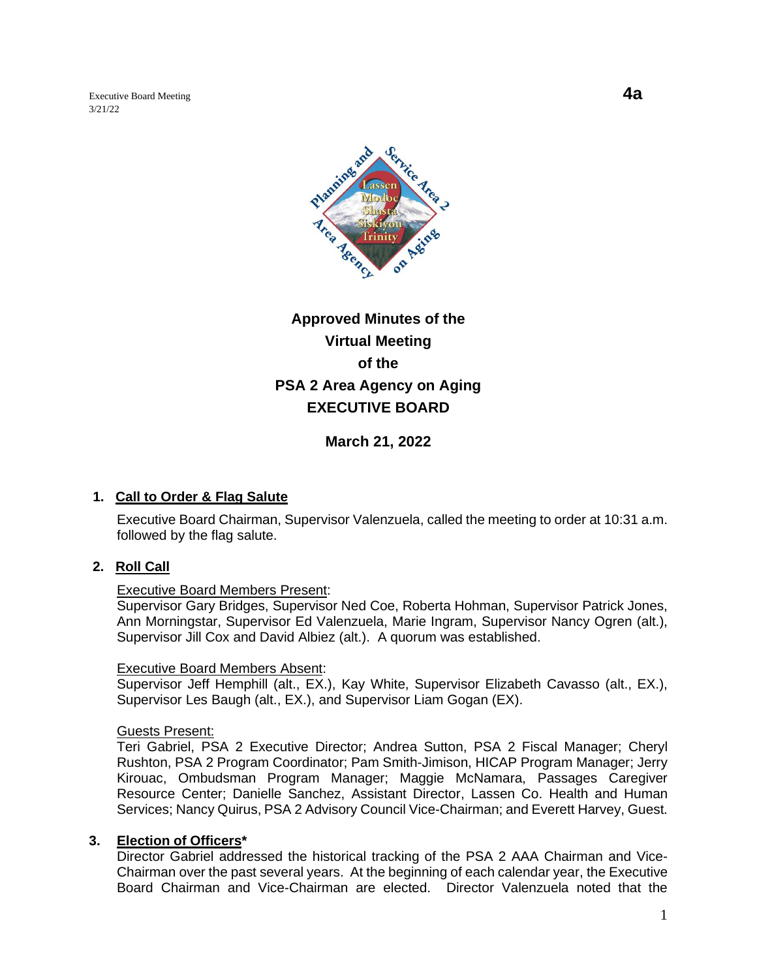Executive Board Meeting **4a** 3/21/22



# **Approved Minutes of the Virtual Meeting of the PSA 2 Area Agency on Aging EXECUTIVE BOARD**

**March 21, 2022**

### **1. Call to Order & Flag Salute**

Executive Board Chairman, Supervisor Valenzuela, called the meeting to order at 10:31 a.m. followed by the flag salute.

### **2. Roll Call**

#### Executive Board Members Present:

Supervisor Gary Bridges, Supervisor Ned Coe, Roberta Hohman, Supervisor Patrick Jones, Ann Morningstar, Supervisor Ed Valenzuela, Marie Ingram, Supervisor Nancy Ogren (alt.), Supervisor Jill Cox and David Albiez (alt.). A quorum was established.

#### Executive Board Members Absent:

Supervisor Jeff Hemphill (alt., EX.), Kay White, Supervisor Elizabeth Cavasso (alt., EX.), Supervisor Les Baugh (alt., EX.), and Supervisor Liam Gogan (EX).

#### Guests Present:

Teri Gabriel, PSA 2 Executive Director; Andrea Sutton, PSA 2 Fiscal Manager; Cheryl Rushton, PSA 2 Program Coordinator; Pam Smith-Jimison, HICAP Program Manager; Jerry Kirouac, Ombudsman Program Manager; Maggie McNamara, Passages Caregiver Resource Center; Danielle Sanchez, Assistant Director, Lassen Co. Health and Human Services; Nancy Quirus, PSA 2 Advisory Council Vice-Chairman; and Everett Harvey, Guest.

#### **3. Election of Officers\***

Director Gabriel addressed the historical tracking of the PSA 2 AAA Chairman and Vice-Chairman over the past several years. At the beginning of each calendar year, the Executive Board Chairman and Vice-Chairman are elected. Director Valenzuela noted that the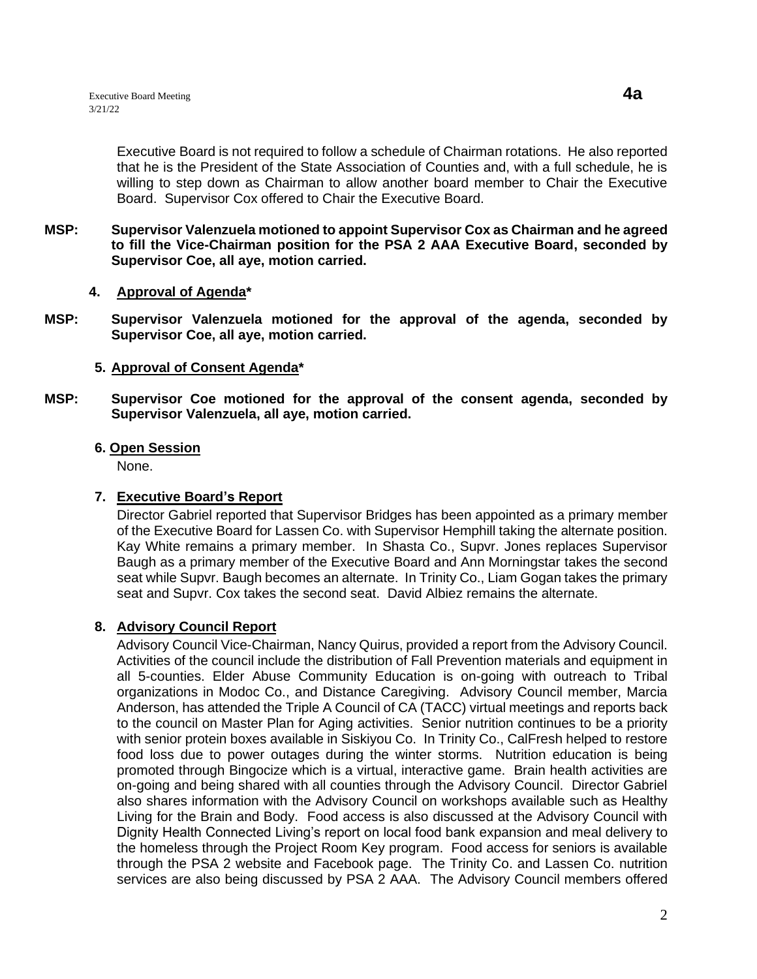Executive Board is not required to follow a schedule of Chairman rotations. He also reported that he is the President of the State Association of Counties and, with a full schedule, he is willing to step down as Chairman to allow another board member to Chair the Executive Board. Supervisor Cox offered to Chair the Executive Board.

- **MSP: Supervisor Valenzuela motioned to appoint Supervisor Cox as Chairman and he agreed to fill the Vice-Chairman position for the PSA 2 AAA Executive Board, seconded by Supervisor Coe, all aye, motion carried.** 
	- **4. Approval of Agenda\***
- **MSP: Supervisor Valenzuela motioned for the approval of the agenda, seconded by Supervisor Coe, all aye, motion carried.**

#### **5. Approval of Consent Agenda\***

**MSP: Supervisor Coe motioned for the approval of the consent agenda, seconded by Supervisor Valenzuela, all aye, motion carried.** 

#### **6. Open Session**

None.

### **7. Executive Board's Report**

Director Gabriel reported that Supervisor Bridges has been appointed as a primary member of the Executive Board for Lassen Co. with Supervisor Hemphill taking the alternate position. Kay White remains a primary member. In Shasta Co., Supvr. Jones replaces Supervisor Baugh as a primary member of the Executive Board and Ann Morningstar takes the second seat while Supvr. Baugh becomes an alternate. In Trinity Co., Liam Gogan takes the primary seat and Supvr. Cox takes the second seat. David Albiez remains the alternate.

### **8. Advisory Council Report**

Advisory Council Vice-Chairman, Nancy Quirus, provided a report from the Advisory Council. Activities of the council include the distribution of Fall Prevention materials and equipment in all 5-counties. Elder Abuse Community Education is on-going with outreach to Tribal organizations in Modoc Co., and Distance Caregiving. Advisory Council member, Marcia Anderson, has attended the Triple A Council of CA (TACC) virtual meetings and reports back to the council on Master Plan for Aging activities. Senior nutrition continues to be a priority with senior protein boxes available in Siskiyou Co. In Trinity Co., CalFresh helped to restore food loss due to power outages during the winter storms. Nutrition education is being promoted through Bingocize which is a virtual, interactive game. Brain health activities are on-going and being shared with all counties through the Advisory Council. Director Gabriel also shares information with the Advisory Council on workshops available such as Healthy Living for the Brain and Body. Food access is also discussed at the Advisory Council with Dignity Health Connected Living's report on local food bank expansion and meal delivery to the homeless through the Project Room Key program. Food access for seniors is available through the PSA 2 website and Facebook page. The Trinity Co. and Lassen Co. nutrition services are also being discussed by PSA 2 AAA. The Advisory Council members offered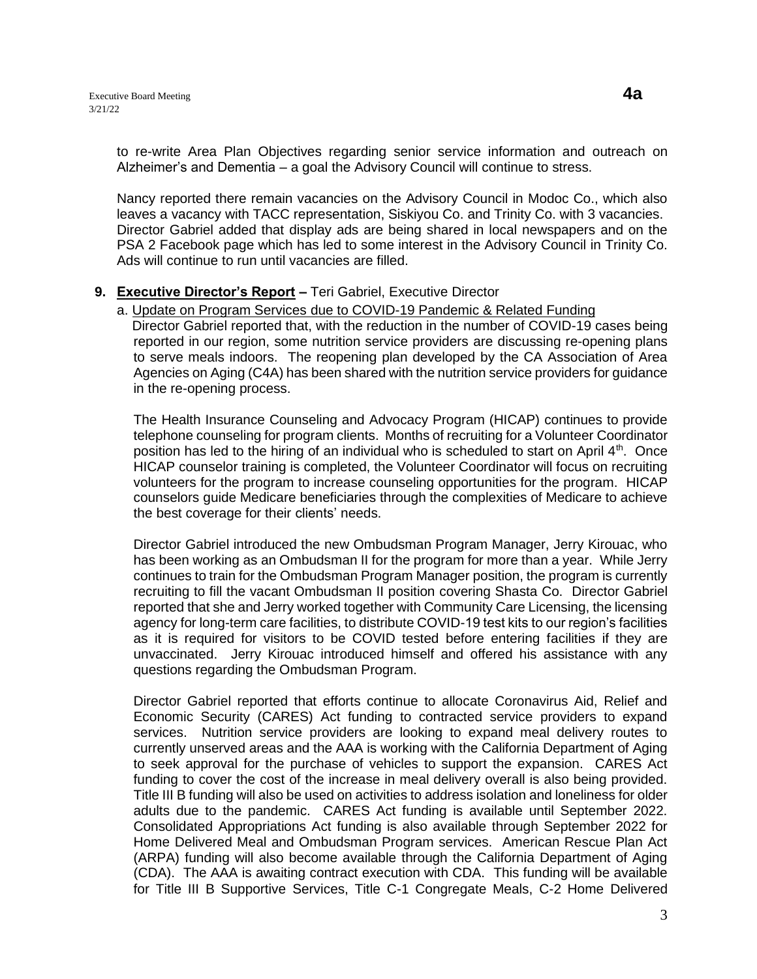to re-write Area Plan Objectives regarding senior service information and outreach on Alzheimer's and Dementia – a goal the Advisory Council will continue to stress.

Nancy reported there remain vacancies on the Advisory Council in Modoc Co., which also leaves a vacancy with TACC representation, Siskiyou Co. and Trinity Co. with 3 vacancies. Director Gabriel added that display ads are being shared in local newspapers and on the PSA 2 Facebook page which has led to some interest in the Advisory Council in Trinity Co. Ads will continue to run until vacancies are filled.

#### **9. Executive Director's Report –** Teri Gabriel, Executive Director

a. Update on Program Services due to COVID-19 Pandemic & Related Funding

 Director Gabriel reported that, with the reduction in the number of COVID-19 cases being reported in our region, some nutrition service providers are discussing re-opening plans to serve meals indoors. The reopening plan developed by the CA Association of Area Agencies on Aging (C4A) has been shared with the nutrition service providers for guidance in the re-opening process.

The Health Insurance Counseling and Advocacy Program (HICAP) continues to provide telephone counseling for program clients. Months of recruiting for a Volunteer Coordinator position has led to the hiring of an individual who is scheduled to start on April  $4<sup>th</sup>$ . Once HICAP counselor training is completed, the Volunteer Coordinator will focus on recruiting volunteers for the program to increase counseling opportunities for the program. HICAP counselors guide Medicare beneficiaries through the complexities of Medicare to achieve the best coverage for their clients' needs.

Director Gabriel introduced the new Ombudsman Program Manager, Jerry Kirouac, who has been working as an Ombudsman II for the program for more than a year. While Jerry continues to train for the Ombudsman Program Manager position, the program is currently recruiting to fill the vacant Ombudsman II position covering Shasta Co. Director Gabriel reported that she and Jerry worked together with Community Care Licensing, the licensing agency for long-term care facilities, to distribute COVID-19 test kits to our region's facilities as it is required for visitors to be COVID tested before entering facilities if they are unvaccinated. Jerry Kirouac introduced himself and offered his assistance with any questions regarding the Ombudsman Program.

Director Gabriel reported that efforts continue to allocate Coronavirus Aid, Relief and Economic Security (CARES) Act funding to contracted service providers to expand services. Nutrition service providers are looking to expand meal delivery routes to currently unserved areas and the AAA is working with the California Department of Aging to seek approval for the purchase of vehicles to support the expansion. CARES Act funding to cover the cost of the increase in meal delivery overall is also being provided. Title III B funding will also be used on activities to address isolation and loneliness for older adults due to the pandemic. CARES Act funding is available until September 2022. Consolidated Appropriations Act funding is also available through September 2022 for Home Delivered Meal and Ombudsman Program services. American Rescue Plan Act (ARPA) funding will also become available through the California Department of Aging (CDA). The AAA is awaiting contract execution with CDA. This funding will be available for Title III B Supportive Services, Title C-1 Congregate Meals, C-2 Home Delivered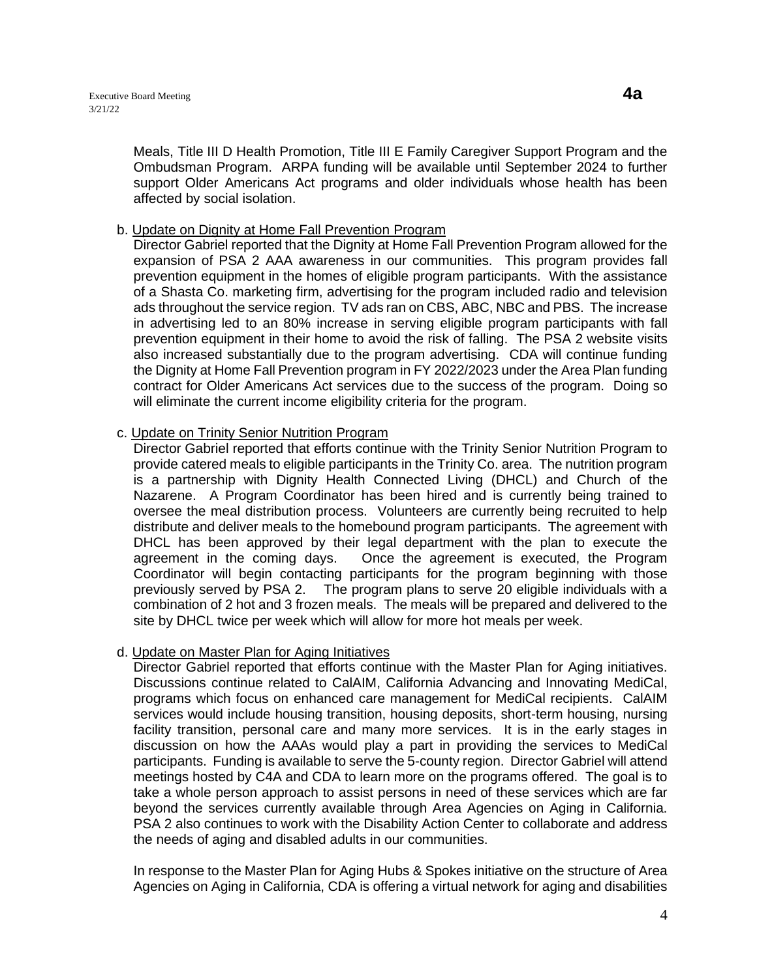Meals, Title III D Health Promotion, Title III E Family Caregiver Support Program and the Ombudsman Program. ARPA funding will be available until September 2024 to further support Older Americans Act programs and older individuals whose health has been affected by social isolation.

#### b. Update on Dignity at Home Fall Prevention Program

Director Gabriel reported that the Dignity at Home Fall Prevention Program allowed for the expansion of PSA 2 AAA awareness in our communities. This program provides fall prevention equipment in the homes of eligible program participants. With the assistance of a Shasta Co. marketing firm, advertising for the program included radio and television ads throughout the service region. TV ads ran on CBS, ABC, NBC and PBS. The increase in advertising led to an 80% increase in serving eligible program participants with fall prevention equipment in their home to avoid the risk of falling. The PSA 2 website visits also increased substantially due to the program advertising. CDA will continue funding the Dignity at Home Fall Prevention program in FY 2022/2023 under the Area Plan funding contract for Older Americans Act services due to the success of the program. Doing so will eliminate the current income eligibility criteria for the program.

### c. Update on Trinity Senior Nutrition Program

Director Gabriel reported that efforts continue with the Trinity Senior Nutrition Program to provide catered meals to eligible participants in the Trinity Co. area. The nutrition program is a partnership with Dignity Health Connected Living (DHCL) and Church of the Nazarene. A Program Coordinator has been hired and is currently being trained to oversee the meal distribution process. Volunteers are currently being recruited to help distribute and deliver meals to the homebound program participants. The agreement with DHCL has been approved by their legal department with the plan to execute the agreement in the coming days. Once the agreement is executed, the Program Coordinator will begin contacting participants for the program beginning with those previously served by PSA 2. The program plans to serve 20 eligible individuals with a combination of 2 hot and 3 frozen meals. The meals will be prepared and delivered to the site by DHCL twice per week which will allow for more hot meals per week.

### d. Update on Master Plan for Aging Initiatives

Director Gabriel reported that efforts continue with the Master Plan for Aging initiatives. Discussions continue related to CalAIM, California Advancing and Innovating MediCal, programs which focus on enhanced care management for MediCal recipients. CalAIM services would include housing transition, housing deposits, short-term housing, nursing facility transition, personal care and many more services. It is in the early stages in discussion on how the AAAs would play a part in providing the services to MediCal participants. Funding is available to serve the 5-county region. Director Gabriel will attend meetings hosted by C4A and CDA to learn more on the programs offered. The goal is to take a whole person approach to assist persons in need of these services which are far beyond the services currently available through Area Agencies on Aging in California. PSA 2 also continues to work with the Disability Action Center to collaborate and address the needs of aging and disabled adults in our communities.

In response to the Master Plan for Aging Hubs & Spokes initiative on the structure of Area Agencies on Aging in California, CDA is offering a virtual network for aging and disabilities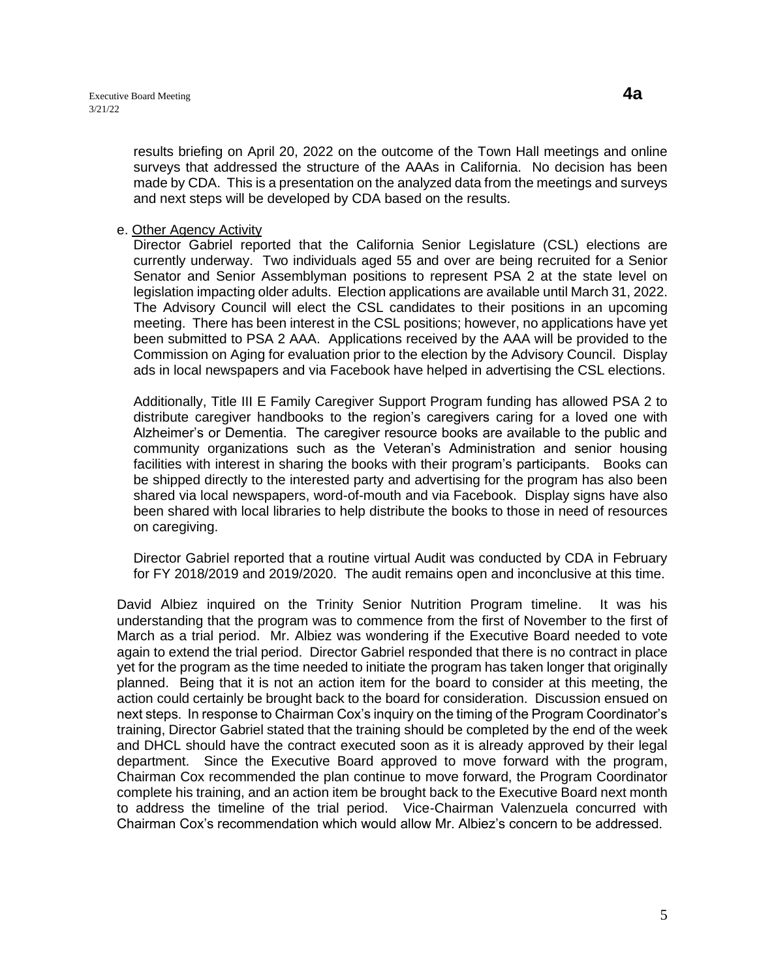results briefing on April 20, 2022 on the outcome of the Town Hall meetings and online surveys that addressed the structure of the AAAs in California. No decision has been made by CDA. This is a presentation on the analyzed data from the meetings and surveys and next steps will be developed by CDA based on the results.

#### e. Other Agency Activity

Director Gabriel reported that the California Senior Legislature (CSL) elections are currently underway. Two individuals aged 55 and over are being recruited for a Senior Senator and Senior Assemblyman positions to represent PSA 2 at the state level on legislation impacting older adults. Election applications are available until March 31, 2022. The Advisory Council will elect the CSL candidates to their positions in an upcoming meeting. There has been interest in the CSL positions; however, no applications have yet been submitted to PSA 2 AAA. Applications received by the AAA will be provided to the Commission on Aging for evaluation prior to the election by the Advisory Council. Display ads in local newspapers and via Facebook have helped in advertising the CSL elections.

Additionally, Title III E Family Caregiver Support Program funding has allowed PSA 2 to distribute caregiver handbooks to the region's caregivers caring for a loved one with Alzheimer's or Dementia. The caregiver resource books are available to the public and community organizations such as the Veteran's Administration and senior housing facilities with interest in sharing the books with their program's participants. Books can be shipped directly to the interested party and advertising for the program has also been shared via local newspapers, word-of-mouth and via Facebook. Display signs have also been shared with local libraries to help distribute the books to those in need of resources on caregiving.

Director Gabriel reported that a routine virtual Audit was conducted by CDA in February for FY 2018/2019 and 2019/2020. The audit remains open and inconclusive at this time.

David Albiez inquired on the Trinity Senior Nutrition Program timeline. It was his understanding that the program was to commence from the first of November to the first of March as a trial period. Mr. Albiez was wondering if the Executive Board needed to vote again to extend the trial period. Director Gabriel responded that there is no contract in place yet for the program as the time needed to initiate the program has taken longer that originally planned. Being that it is not an action item for the board to consider at this meeting, the action could certainly be brought back to the board for consideration. Discussion ensued on next steps. In response to Chairman Cox's inquiry on the timing of the Program Coordinator's training, Director Gabriel stated that the training should be completed by the end of the week and DHCL should have the contract executed soon as it is already approved by their legal department. Since the Executive Board approved to move forward with the program, Chairman Cox recommended the plan continue to move forward, the Program Coordinator complete his training, and an action item be brought back to the Executive Board next month to address the timeline of the trial period. Vice-Chairman Valenzuela concurred with Chairman Cox's recommendation which would allow Mr. Albiez's concern to be addressed.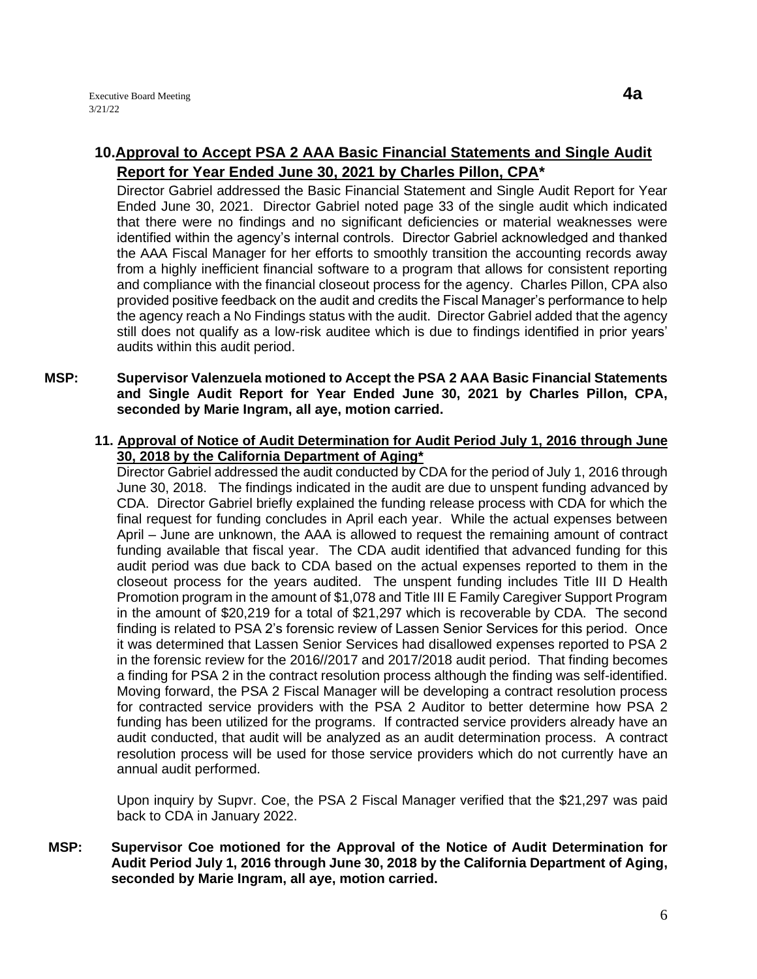# **10.Approval to Accept PSA 2 AAA Basic Financial Statements and Single Audit Report for Year Ended June 30, 2021 by Charles Pillon, CPA\***

Director Gabriel addressed the Basic Financial Statement and Single Audit Report for Year Ended June 30, 2021. Director Gabriel noted page 33 of the single audit which indicated that there were no findings and no significant deficiencies or material weaknesses were identified within the agency's internal controls. Director Gabriel acknowledged and thanked the AAA Fiscal Manager for her efforts to smoothly transition the accounting records away from a highly inefficient financial software to a program that allows for consistent reporting and compliance with the financial closeout process for the agency. Charles Pillon, CPA also provided positive feedback on the audit and credits the Fiscal Manager's performance to help the agency reach a No Findings status with the audit. Director Gabriel added that the agency still does not qualify as a low-risk auditee which is due to findings identified in prior years' audits within this audit period.

### **MSP: Supervisor Valenzuela motioned to Accept the PSA 2 AAA Basic Financial Statements and Single Audit Report for Year Ended June 30, 2021 by Charles Pillon, CPA, seconded by Marie Ingram, all aye, motion carried.**

**11. Approval of Notice of Audit Determination for Audit Period July 1, 2016 through June 30, 2018 by the California Department of Aging\***

Director Gabriel addressed the audit conducted by CDA for the period of July 1, 2016 through June 30, 2018. The findings indicated in the audit are due to unspent funding advanced by CDA. Director Gabriel briefly explained the funding release process with CDA for which the final request for funding concludes in April each year. While the actual expenses between April – June are unknown, the AAA is allowed to request the remaining amount of contract funding available that fiscal year. The CDA audit identified that advanced funding for this audit period was due back to CDA based on the actual expenses reported to them in the closeout process for the years audited. The unspent funding includes Title III D Health Promotion program in the amount of \$1,078 and Title III E Family Caregiver Support Program in the amount of \$20,219 for a total of \$21,297 which is recoverable by CDA. The second finding is related to PSA 2's forensic review of Lassen Senior Services for this period. Once it was determined that Lassen Senior Services had disallowed expenses reported to PSA 2 in the forensic review for the 2016//2017 and 2017/2018 audit period. That finding becomes a finding for PSA 2 in the contract resolution process although the finding was self-identified. Moving forward, the PSA 2 Fiscal Manager will be developing a contract resolution process for contracted service providers with the PSA 2 Auditor to better determine how PSA 2 funding has been utilized for the programs. If contracted service providers already have an audit conducted, that audit will be analyzed as an audit determination process. A contract resolution process will be used for those service providers which do not currently have an annual audit performed.

Upon inquiry by Supvr. Coe, the PSA 2 Fiscal Manager verified that the \$21,297 was paid back to CDA in January 2022.

**MSP: Supervisor Coe motioned for the Approval of the Notice of Audit Determination for Audit Period July 1, 2016 through June 30, 2018 by the California Department of Aging, seconded by Marie Ingram, all aye, motion carried.**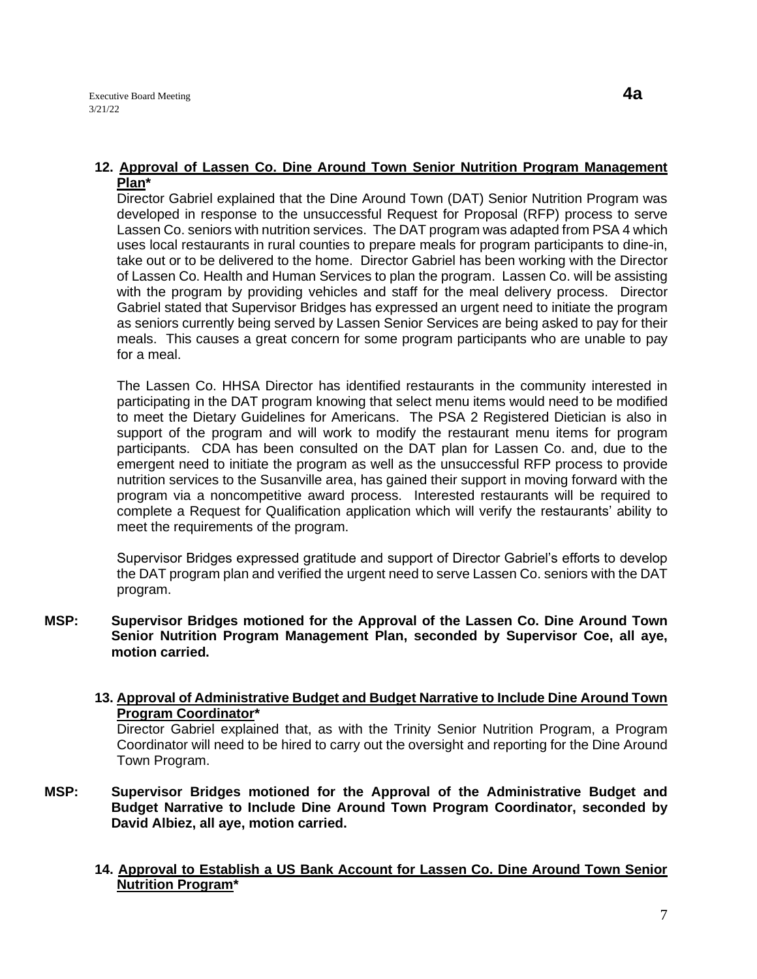Director Gabriel explained that the Dine Around Town (DAT) Senior Nutrition Program was developed in response to the unsuccessful Request for Proposal (RFP) process to serve Lassen Co. seniors with nutrition services. The DAT program was adapted from PSA 4 which uses local restaurants in rural counties to prepare meals for program participants to dine-in, take out or to be delivered to the home. Director Gabriel has been working with the Director of Lassen Co. Health and Human Services to plan the program. Lassen Co. will be assisting with the program by providing vehicles and staff for the meal delivery process. Director Gabriel stated that Supervisor Bridges has expressed an urgent need to initiate the program as seniors currently being served by Lassen Senior Services are being asked to pay for their meals. This causes a great concern for some program participants who are unable to pay for a meal.

The Lassen Co. HHSA Director has identified restaurants in the community interested in participating in the DAT program knowing that select menu items would need to be modified to meet the Dietary Guidelines for Americans. The PSA 2 Registered Dietician is also in support of the program and will work to modify the restaurant menu items for program participants. CDA has been consulted on the DAT plan for Lassen Co. and, due to the emergent need to initiate the program as well as the unsuccessful RFP process to provide nutrition services to the Susanville area, has gained their support in moving forward with the program via a noncompetitive award process. Interested restaurants will be required to complete a Request for Qualification application which will verify the restaurants' ability to meet the requirements of the program.

Supervisor Bridges expressed gratitude and support of Director Gabriel's efforts to develop the DAT program plan and verified the urgent need to serve Lassen Co. seniors with the DAT program.

- **MSP: Supervisor Bridges motioned for the Approval of the Lassen Co. Dine Around Town Senior Nutrition Program Management Plan, seconded by Supervisor Coe, all aye, motion carried.** 
	- **13. Approval of Administrative Budget and Budget Narrative to Include Dine Around Town Program Coordinator\***

Director Gabriel explained that, as with the Trinity Senior Nutrition Program, a Program Coordinator will need to be hired to carry out the oversight and reporting for the Dine Around Town Program.

- **MSP: Supervisor Bridges motioned for the Approval of the Administrative Budget and Budget Narrative to Include Dine Around Town Program Coordinator, seconded by David Albiez, all aye, motion carried.** 
	- **14. Approval to Establish a US Bank Account for Lassen Co. Dine Around Town Senior Nutrition Program\***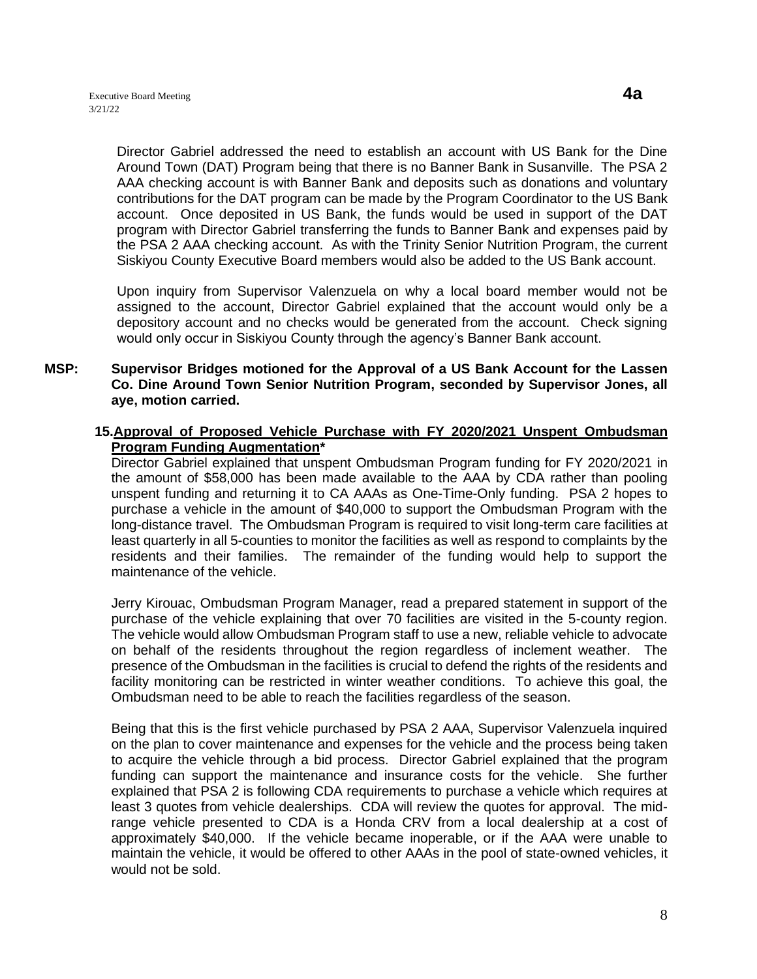Director Gabriel addressed the need to establish an account with US Bank for the Dine Around Town (DAT) Program being that there is no Banner Bank in Susanville. The PSA 2 AAA checking account is with Banner Bank and deposits such as donations and voluntary contributions for the DAT program can be made by the Program Coordinator to the US Bank account. Once deposited in US Bank, the funds would be used in support of the DAT program with Director Gabriel transferring the funds to Banner Bank and expenses paid by the PSA 2 AAA checking account. As with the Trinity Senior Nutrition Program, the current Siskiyou County Executive Board members would also be added to the US Bank account.

Upon inquiry from Supervisor Valenzuela on why a local board member would not be assigned to the account, Director Gabriel explained that the account would only be a depository account and no checks would be generated from the account. Check signing would only occur in Siskiyou County through the agency's Banner Bank account.

#### **MSP: Supervisor Bridges motioned for the Approval of a US Bank Account for the Lassen Co. Dine Around Town Senior Nutrition Program, seconded by Supervisor Jones, all aye, motion carried.**

### **15.Approval of Proposed Vehicle Purchase with FY 2020/2021 Unspent Ombudsman Program Funding Augmentation\***

Director Gabriel explained that unspent Ombudsman Program funding for FY 2020/2021 in the amount of \$58,000 has been made available to the AAA by CDA rather than pooling unspent funding and returning it to CA AAAs as One-Time-Only funding. PSA 2 hopes to purchase a vehicle in the amount of \$40,000 to support the Ombudsman Program with the long-distance travel. The Ombudsman Program is required to visit long-term care facilities at least quarterly in all 5-counties to monitor the facilities as well as respond to complaints by the residents and their families. The remainder of the funding would help to support the maintenance of the vehicle.

Jerry Kirouac, Ombudsman Program Manager, read a prepared statement in support of the purchase of the vehicle explaining that over 70 facilities are visited in the 5-county region. The vehicle would allow Ombudsman Program staff to use a new, reliable vehicle to advocate on behalf of the residents throughout the region regardless of inclement weather. The presence of the Ombudsman in the facilities is crucial to defend the rights of the residents and facility monitoring can be restricted in winter weather conditions. To achieve this goal, the Ombudsman need to be able to reach the facilities regardless of the season.

Being that this is the first vehicle purchased by PSA 2 AAA, Supervisor Valenzuela inquired on the plan to cover maintenance and expenses for the vehicle and the process being taken to acquire the vehicle through a bid process. Director Gabriel explained that the program funding can support the maintenance and insurance costs for the vehicle. She further explained that PSA 2 is following CDA requirements to purchase a vehicle which requires at least 3 quotes from vehicle dealerships. CDA will review the quotes for approval. The midrange vehicle presented to CDA is a Honda CRV from a local dealership at a cost of approximately \$40,000. If the vehicle became inoperable, or if the AAA were unable to maintain the vehicle, it would be offered to other AAAs in the pool of state-owned vehicles, it would not be sold.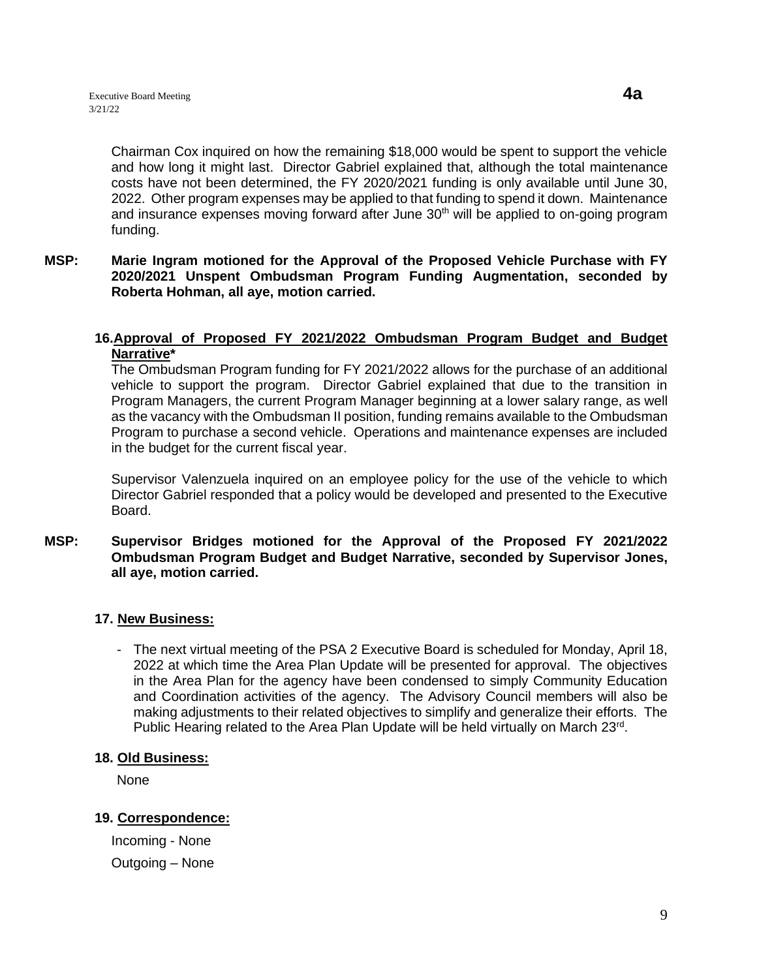Chairman Cox inquired on how the remaining \$18,000 would be spent to support the vehicle and how long it might last. Director Gabriel explained that, although the total maintenance costs have not been determined, the FY 2020/2021 funding is only available until June 30, 2022. Other program expenses may be applied to that funding to spend it down. Maintenance and insurance expenses moving forward after June  $30<sup>th</sup>$  will be applied to on-going program funding.

### **MSP: Marie Ingram motioned for the Approval of the Proposed Vehicle Purchase with FY 2020/2021 Unspent Ombudsman Program Funding Augmentation, seconded by Roberta Hohman, all aye, motion carried.**

#### **16.Approval of Proposed FY 2021/2022 Ombudsman Program Budget and Budget Narrative\***

The Ombudsman Program funding for FY 2021/2022 allows for the purchase of an additional vehicle to support the program. Director Gabriel explained that due to the transition in Program Managers, the current Program Manager beginning at a lower salary range, as well as the vacancy with the Ombudsman II position, funding remains available to the Ombudsman Program to purchase a second vehicle. Operations and maintenance expenses are included in the budget for the current fiscal year.

Supervisor Valenzuela inquired on an employee policy for the use of the vehicle to which Director Gabriel responded that a policy would be developed and presented to the Executive Board.

#### **MSP: Supervisor Bridges motioned for the Approval of the Proposed FY 2021/2022 Ombudsman Program Budget and Budget Narrative, seconded by Supervisor Jones, all aye, motion carried.**

### **17. New Business:**

- The next virtual meeting of the PSA 2 Executive Board is scheduled for Monday, April 18, 2022 at which time the Area Plan Update will be presented for approval. The objectives in the Area Plan for the agency have been condensed to simply Community Education and Coordination activities of the agency. The Advisory Council members will also be making adjustments to their related objectives to simplify and generalize their efforts. The Public Hearing related to the Area Plan Update will be held virtually on March 23<sup>rd</sup>.

### **18. Old Business:**

None

## **19. Correspondence:**

Incoming - None Outgoing – None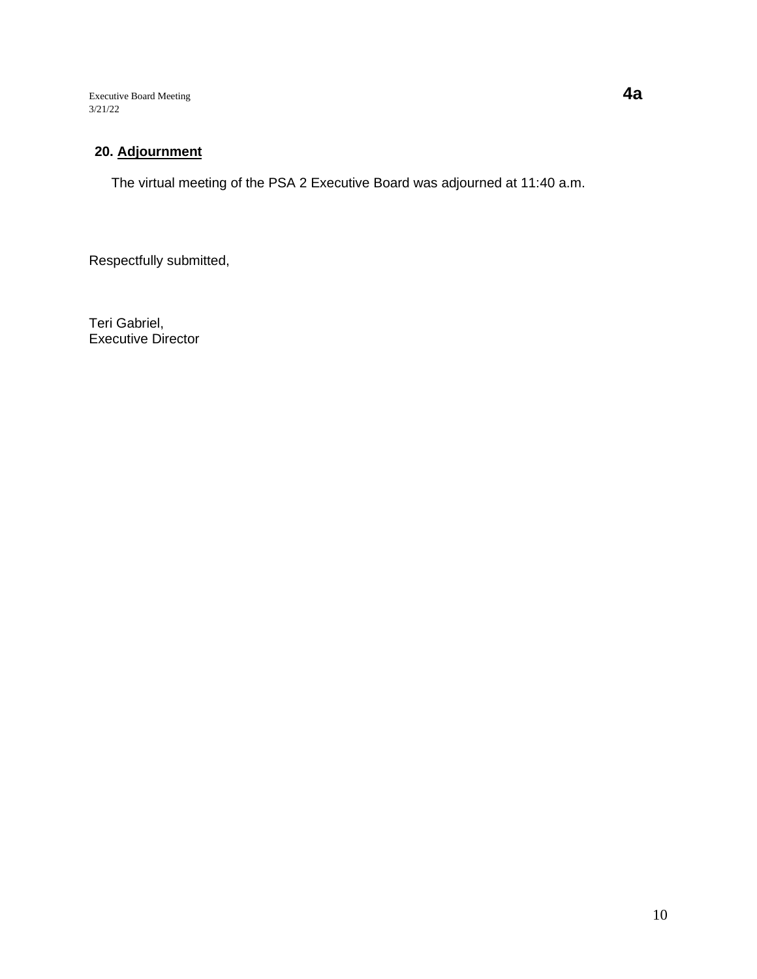Executive Board Meeting **4a** 3/21/22

# **20. Adjournment**

The virtual meeting of the PSA 2 Executive Board was adjourned at 11:40 a.m.

Respectfully submitted,

Teri Gabriel, Executive Director